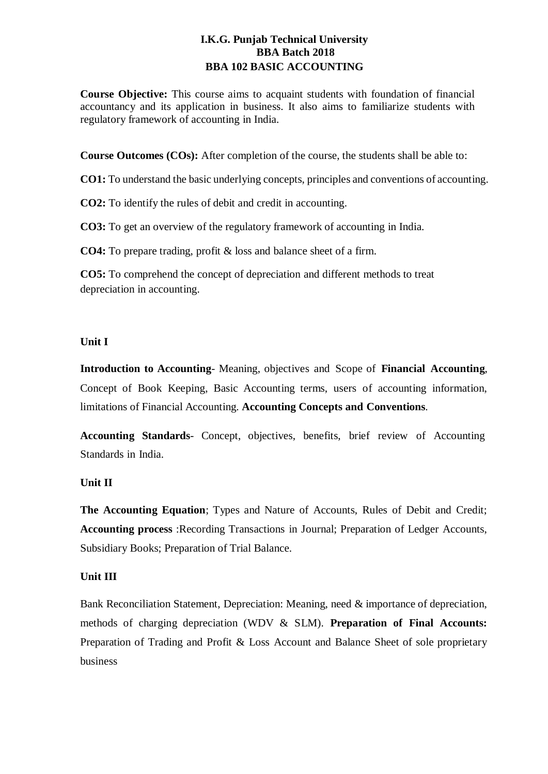## **I.K.G. Punjab Technical University BBA Batch 2018 BBA 102 BASIC ACCOUNTING**

**Course Objective:** This course aims to acquaint students with foundation of financial accountancy and its application in business. It also aims to familiarize students with regulatory framework of accounting in India.

**Course Outcomes (COs):** After completion of the course, the students shall be able to:

**CO1:** To understand the basic underlying concepts, principles and conventions of accounting.

**CO2:** To identify the rules of debit and credit in accounting.

**CO3:** To get an overview of the regulatory framework of accounting in India.

**CO4:** To prepare trading, profit & loss and balance sheet of a firm.

**CO5:** To comprehend the concept of depreciation and different methods to treat depreciation in accounting.

### **Unit I**

**Introduction to Accounting**- Meaning, objectives and Scope of **Financial Accounting**, Concept of Book Keeping, Basic Accounting terms, users of accounting information, limitations of Financial Accounting. **Accounting Concepts and Conventions**.

**Accounting Standards**- Concept, objectives, benefits, brief review of Accounting Standards in India.

### **Unit II**

**The Accounting Equation**; Types and Nature of Accounts, Rules of Debit and Credit; **Accounting process** :Recording Transactions in Journal; Preparation of Ledger Accounts, Subsidiary Books; Preparation of Trial Balance.

### **Unit III**

Bank Reconciliation Statement, Depreciation: Meaning, need & importance of depreciation, methods of charging depreciation (WDV & SLM). **Preparation of Final Accounts:**  Preparation of Trading and Profit & Loss Account and Balance Sheet of sole proprietary business